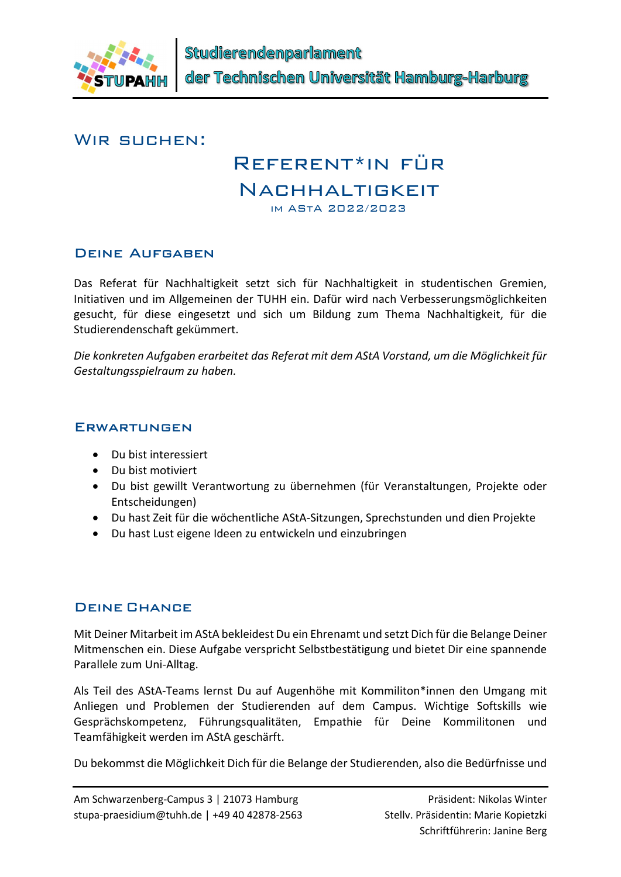

#### WIR SUCHEN:

# Referent\*in für

## Nachhaltigkeit

im AStA 2022/2023

## Deine Aufgaben

Das Referat für Nachhaltigkeit setzt sich für Nachhaltigkeit in studentischen Gremien, Initiativen und im Allgemeinen der TUHH ein. Dafür wird nach Verbesserungsmöglichkeiten gesucht, für diese eingesetzt und sich um Bildung zum Thema Nachhaltigkeit, für die Studierendenschaft gekümmert.

Die konkreten Aufgaben erarbeitet das Referat mit dem AStA Vorstand, um die Möglichkeit für Gestaltungsspielraum zu haben.

#### **ERWARTUNGEN**

- Du bist interessiert
- Du bist motiviert
- Du bist gewillt Verantwortung zu übernehmen (für Veranstaltungen, Projekte oder Entscheidungen)
- Du hast Zeit für die wöchentliche AStA-Sitzungen, Sprechstunden und dien Projekte
- Du hast Lust eigene Ideen zu entwickeln und einzubringen

## Deine Chance

Mit Deiner Mitarbeit im AStA bekleidest Du ein Ehrenamt und setzt Dich für die Belange Deiner Mitmenschen ein. Diese Aufgabe verspricht Selbstbestätigung und bietet Dir eine spannende Parallele zum Uni-Alltag.

Als Teil des AStA-Teams lernst Du auf Augenhöhe mit Kommiliton\*innen den Umgang mit Anliegen und Problemen der Studierenden auf dem Campus. Wichtige Softskills wie Gesprächskompetenz, Führungsqualitäten, Empathie für Deine Kommilitonen und Teamfähigkeit werden im AStA geschärft.

Du bekommst die Möglichkeit Dich für die Belange der Studierenden, also die Bedürfnisse und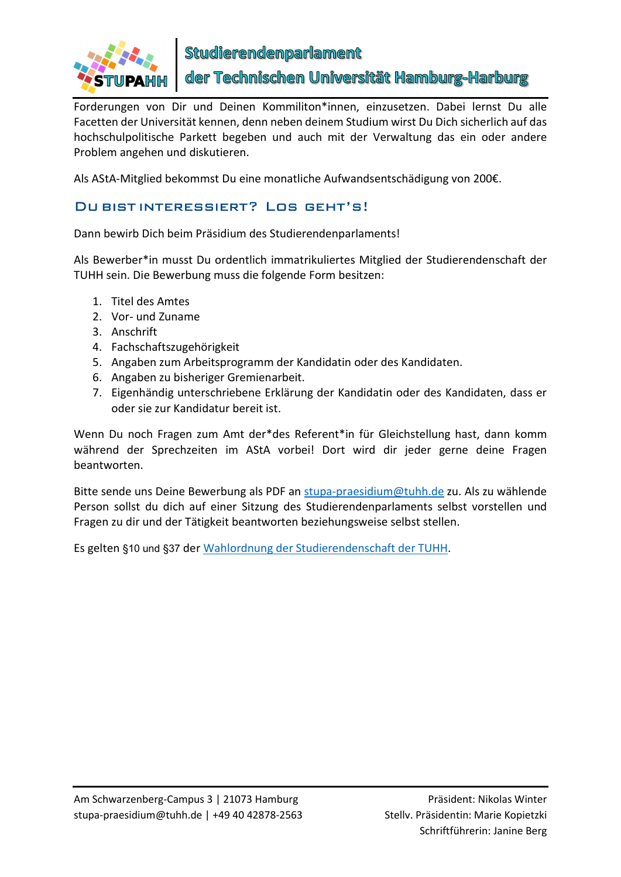

der Technischen Universität Hamburg-Harburg

Forderungen von Dir und Deinen Kommiliton\*innen, einzusetzen. Dabei lernst Du alle Facetten der Universität kennen, denn neben deinem Studium wirst Du Dich sicherlich auf das hochschulpolitische Parkett begeben und auch mit der Verwaltung das ein oder andere Problem angehen und diskutieren.

Als AStA-Mitglied bekommst Du eine monatliche Aufwandsentschädigung von 200€.

#### Du bist interessiert? Los geht's!

Dann bewirb Dich beim Präsidium des Studierendenparlaments!

Als Bewerber\*in musst Du ordentlich immatrikuliertes Mitglied der Studierendenschaft der TUHH sein. Die Bewerbung muss die folgende Form besitzen:

- 1. Titel des Amtes
- 2. Vor- und Zuname
- 3. Anschrift
- 4. Fachschaftszugehörigkeit
- 5. Angaben zum Arbeitsprogramm der Kandidatin oder des Kandidaten.
- 6. Angaben zu bisheriger Gremienarbeit.
- 7. Eigenhändig unterschriebene Erklärung der Kandidatin oder des Kandidaten, dass er oder sie zur Kandidatur bereit ist.

Wenn Du noch Fragen zum Amt der\*des Referent\*in für Gleichstellung hast, dann komm während der Sprechzeiten im AStA vorbei! Dort wird dir jeder gerne deine Fragen beantworten.

Bitte sende uns Deine Bewerbung als PDF an stupa-praesidium@tuhh.de zu. Als zu wählende Person sollst du dich auf einer Sitzung des Studierendenparlaments selbst vorstellen und Fragen zu dir und der Tätigkeit beantworten beziehungsweise selbst stellen.

Es gelten §10 und §37 der Wahlordnung der Studierendenschaft der TUHH.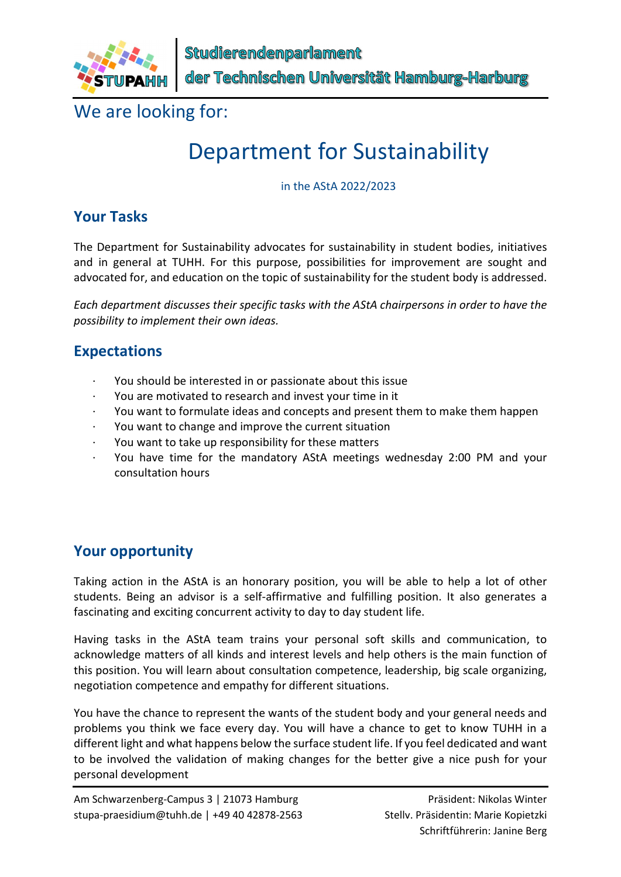

We are looking for:

## Department for Sustainability

in the AStA 2022/2023

## Your Tasks

The Department for Sustainability advocates for sustainability in student bodies, initiatives and in general at TUHH. For this purpose, possibilities for improvement are sought and advocated for, and education on the topic of sustainability for the student body is addressed.

Each department discusses their specific tasks with the AStA chairpersons in order to have the possibility to implement their own ideas.

## Expectations

- · You should be interested in or passionate about this issue
- You are motivated to research and invest your time in it
- · You want to formulate ideas and concepts and present them to make them happen
- You want to change and improve the current situation
- You want to take up responsibility for these matters
- · You have time for the mandatory AStA meetings wednesday 2:00 PM and your consultation hours

## Your opportunity

Taking action in the AStA is an honorary position, you will be able to help a lot of other students. Being an advisor is a self-affirmative and fulfilling position. It also generates a fascinating and exciting concurrent activity to day to day student life.

Having tasks in the AStA team trains your personal soft skills and communication, to acknowledge matters of all kinds and interest levels and help others is the main function of this position. You will learn about consultation competence, leadership, big scale organizing, negotiation competence and empathy for different situations.

You have the chance to represent the wants of the student body and your general needs and problems you think we face every day. You will have a chance to get to know TUHH in a different light and what happens below the surface student life. If you feel dedicated and want to be involved the validation of making changes for the better give a nice push for your personal development